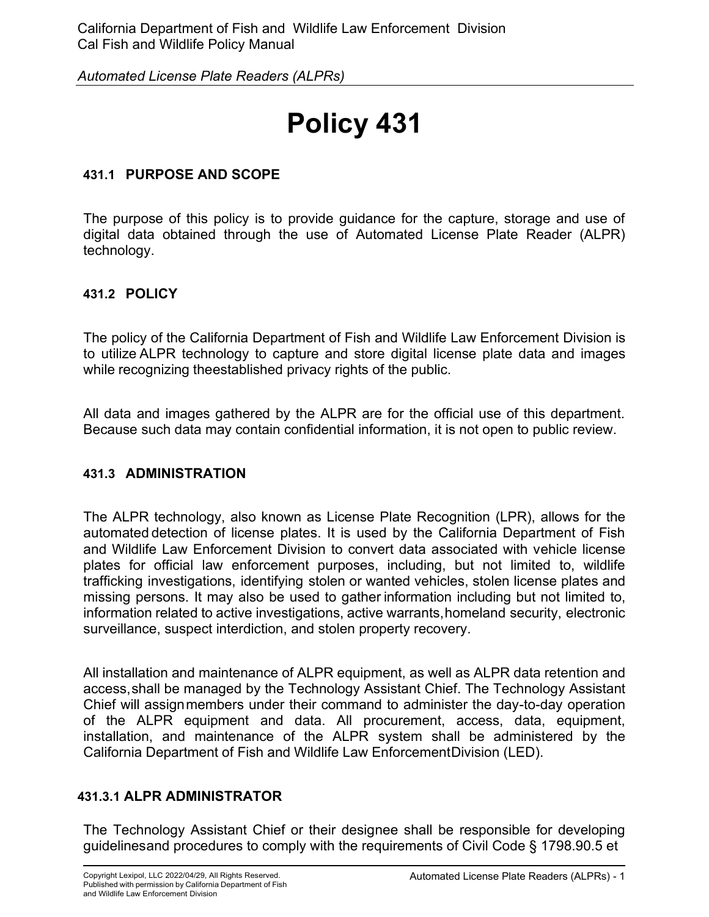# **Policy 431**

## **431.1 PURPOSE AND SCOPE**

The purpose of this policy is to provide guidance for the capture, storage and use of digital data obtained through the use of Automated License Plate Reader (ALPR) technology.

## **431.2 POLICY**

The policy of the California Department of Fish and Wildlife Law Enforcement Division is to utilize ALPR technology to capture and store digital license plate data and images while recognizing theestablished privacy rights of the public.

All data and images gathered by the ALPR are for the official use of this department. Because such data may contain confidential information, it is not open to public review.

## **431.3 ADMINISTRATION**

The ALPR technology, also known as License Plate Recognition (LPR), allows for the automated detection of license plates. It is used by the California Department of Fish and Wildlife Law Enforcement Division to convert data associated with vehicle license plates for official law enforcement purposes, including, but not limited to, wildlife trafficking investigations, identifying stolen or wanted vehicles, stolen license plates and missing persons. It may also be used to gather information including but not limited to, information related to active investigations, active warrants,homeland security, electronic surveillance, suspect interdiction, and stolen property recovery.

All installation and maintenance of ALPR equipment, as well as ALPR data retention and access,shall be managed by the Technology Assistant Chief. The Technology Assistant Chief will assignmembers under their command to administer the day-to-day operation of the ALPR equipment and data. All procurement, access, data, equipment, installation, and maintenance of the ALPR system shall be administered by the California Department of Fish and Wildlife Law EnforcementDivision (LED).

## **431.3.1 ALPR ADMINISTRATOR**

The Technology Assistant Chief or their designee shall be responsible for developing guidelinesand procedures to comply with the requirements of Civil Code § 1798.90.5 et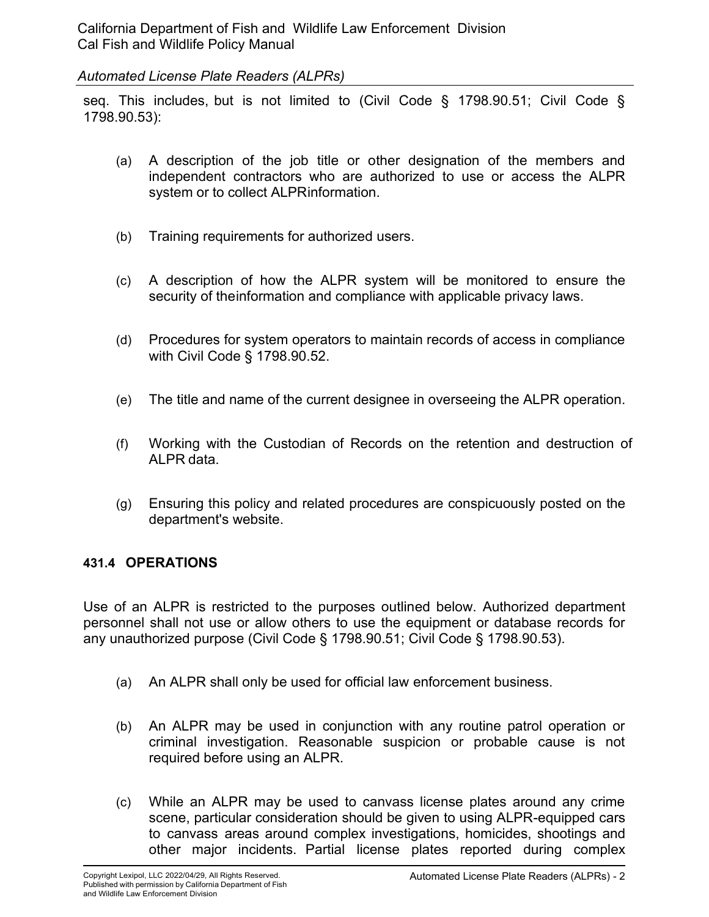seq. This includes, but is not limited to (Civil Code § 1798.90.51; Civil Code § 1798.90.53):

- (a) A description of the job title or other designation of the members and independent contractors who are authorized to use or access the ALPR system or to collect ALPRinformation.
- (b) Training requirements for authorized users.
- (c) A description of how the ALPR system will be monitored to ensure the security of theinformation and compliance with applicable privacy laws.
- (d) Procedures for system operators to maintain records of access in compliance with Civil Code § 1798.90.52.
- (e) The title and name of the current designee in overseeing the ALPR operation.
- (f) Working with the Custodian of Records on the retention and destruction of ALPR data.
- (g) Ensuring this policy and related procedures are conspicuously posted on the department's website.

#### **431.4 OPERATIONS**

Use of an ALPR is restricted to the purposes outlined below. Authorized department personnel shall not use or allow others to use the equipment or database records for any unauthorized purpose (Civil Code § 1798.90.51; Civil Code § 1798.90.53).

- (a) An ALPR shall only be used for official law enforcement business.
- (b) An ALPR may be used in conjunction with any routine patrol operation or criminal investigation. Reasonable suspicion or probable cause is not required before using an ALPR.
- (c) While an ALPR may be used to canvass license plates around any crime scene, particular consideration should be given to using ALPR-equipped cars to canvass areas around complex investigations, homicides, shootings and other major incidents. Partial license plates reported during complex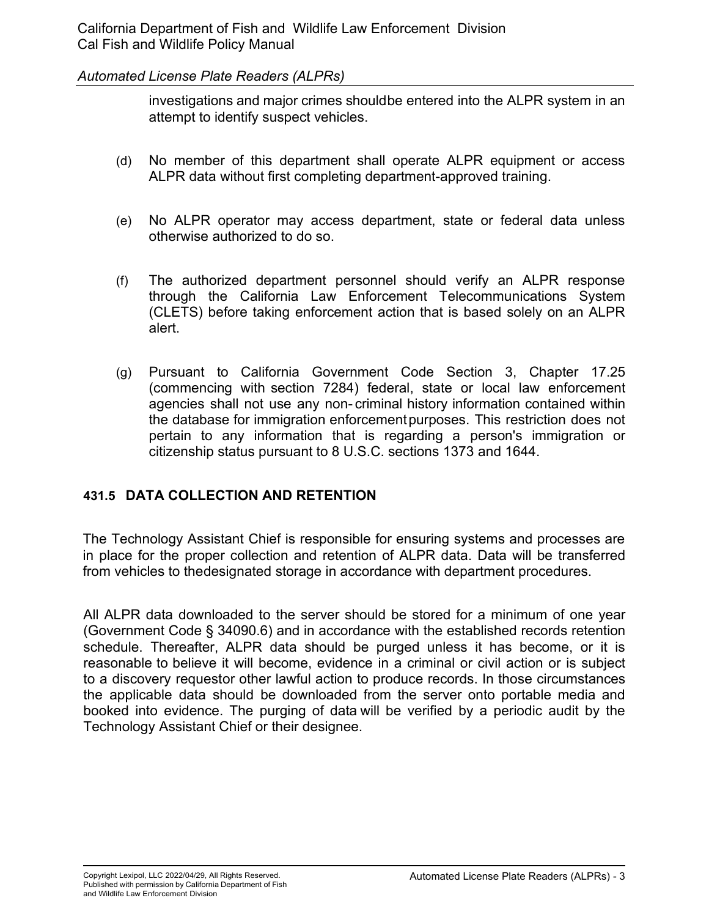investigations and major crimes shouldbe entered into the ALPR system in an attempt to identify suspect vehicles.

- (d) No member of this department shall operate ALPR equipment or access ALPR data without first completing department-approved training.
- (e) No ALPR operator may access department, state or federal data unless otherwise authorized to do so.
- (f) The authorized department personnel should verify an ALPR response through the California Law Enforcement Telecommunications System (CLETS) before taking enforcement action that is based solely on an ALPR alert.
- (g) Pursuant to California Government Code Section 3, Chapter 17.25 (commencing with section 7284) federal, state or local law enforcement agencies shall not use any non- criminal history information contained within the database for immigration enforcementpurposes. This restriction does not pertain to any information that is regarding a person's immigration or citizenship status pursuant to 8 U.S.C. sections 1373 and 1644.

## **431.5 DATA COLLECTION AND RETENTION**

The Technology Assistant Chief is responsible for ensuring systems and processes are in place for the proper collection and retention of ALPR data. Data will be transferred from vehicles to thedesignated storage in accordance with department procedures.

All ALPR data downloaded to the server should be stored for a minimum of one year (Government Code § 34090.6) and in accordance with the established records retention schedule. Thereafter, ALPR data should be purged unless it has become, or it is reasonable to believe it will become, evidence in a criminal or civil action or is subject to a discovery requestor other lawful action to produce records. In those circumstances the applicable data should be downloaded from the server onto portable media and booked into evidence. The purging of data will be verified by a periodic audit by the Technology Assistant Chief or their designee.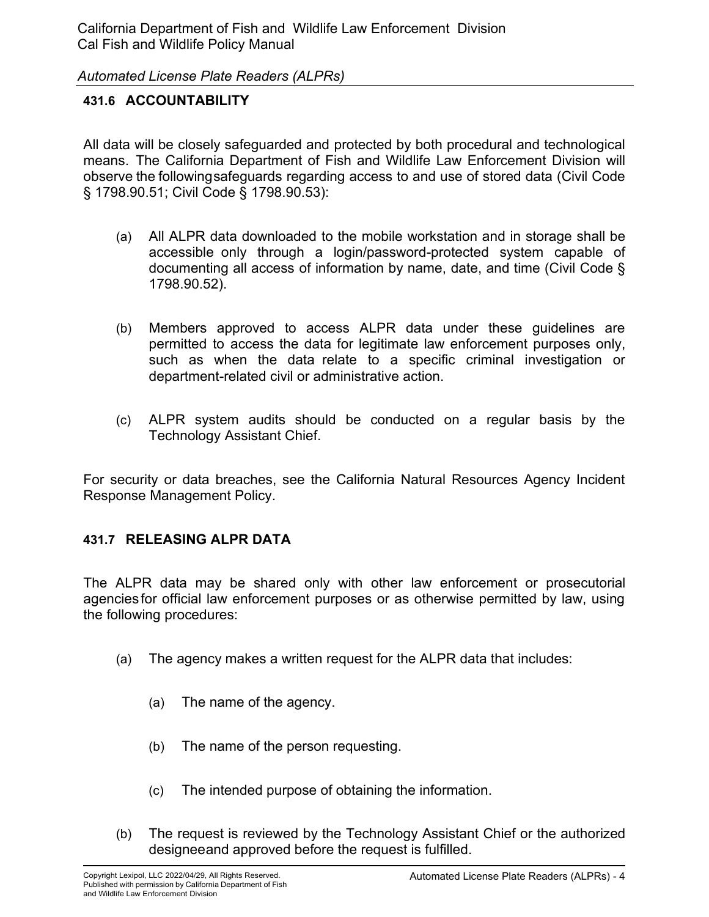## **431.6 ACCOUNTABILITY**

All data will be closely safeguarded and protected by both procedural and technological means. The California Department of Fish and Wildlife Law Enforcement Division will observe the followingsafeguards regarding access to and use of stored data (Civil Code § 1798.90.51; Civil Code § 1798.90.53):

- (a) All ALPR data downloaded to the mobile workstation and in storage shall be accessible only through a login/password-protected system capable of documenting all access of information by name, date, and time (Civil Code § 1798.90.52).
- (b) Members approved to access ALPR data under these guidelines are permitted to access the data for legitimate law enforcement purposes only, such as when the data relate to a specific criminal investigation or department-related civil or administrative action.
- (c) ALPR system audits should be conducted on a regular basis by the Technology Assistant Chief.

For security or data breaches, see the California Natural Resources Agency Incident Response Management Policy.

## **431.7 RELEASING ALPR DATA**

The ALPR data may be shared only with other law enforcement or prosecutorial agenciesfor official law enforcement purposes or as otherwise permitted by law, using the following procedures:

- (a) The agency makes a written request for the ALPR data that includes:
	- (a) The name of the agency.
	- (b) The name of the person requesting.
	- (c) The intended purpose of obtaining the information.
- (b) The request is reviewed by the Technology Assistant Chief or the authorized designeeand approved before the request is fulfilled.